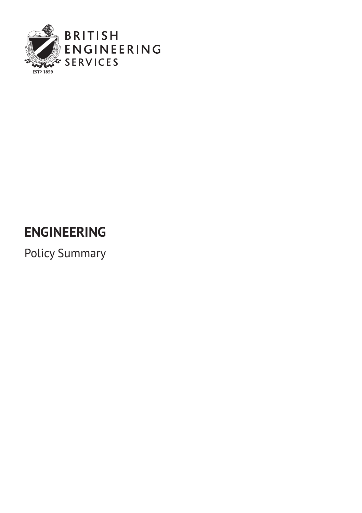

### **ENGINEERING**

Policy Summary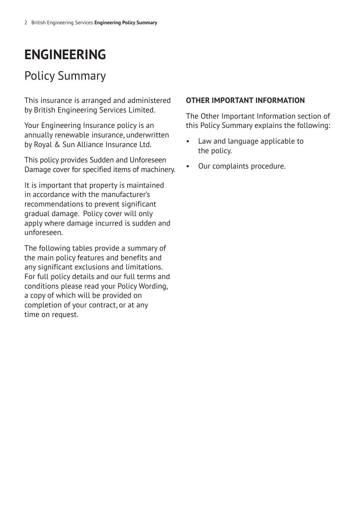### **ENGINEERING**

### Policy Summary

This insurance is arranged and administered by British Engineering Services Limited.

Your Engineering Insurance policy is an annually renewable insurance, underwritten by Royal & Sun Alliance Insurance Ltd.

This policy provides Sudden and Unforeseen Damage cover for specified items of machinery.

It is important that property is maintained in accordance with the manufacturer's recommendations to prevent significant gradual damage. Policy cover will only apply where damage incurred is sudden and unforeseen.

The following tables provide a summary of the main policy features and benefits and any significant exclusions and limitations. For full policy details and our full terms and conditions please read your Policy Wording, a copy of which will be provided on completion of your contract, or at any time on request.

#### **OTHER IMPORTANT INFORMATION**

The Other Important Information section of this Policy Summary explains the following:

- Law and language applicable to the policy.
- Our complaints procedure.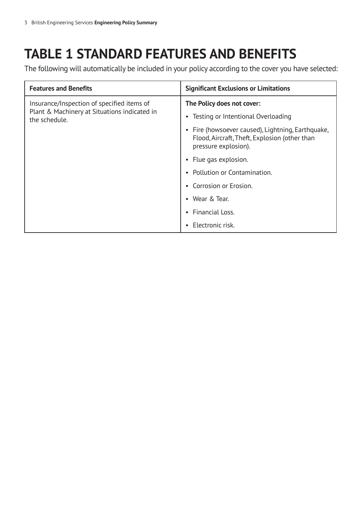### **TABLE 1 STANDARD FEATURES AND BENEFITS**

The following will automatically be included in your policy according to the cover you have selected:

| <b>Features and Benefits</b>                                                                                | <b>Significant Exclusions or Limitations</b>                                                                               |
|-------------------------------------------------------------------------------------------------------------|----------------------------------------------------------------------------------------------------------------------------|
| Insurance/Inspection of specified items of<br>Plant & Machinery at Situations indicated in<br>the schedule. | The Policy does not cover:                                                                                                 |
|                                                                                                             | • Testing or Intentional Overloading                                                                                       |
|                                                                                                             | • Fire (howsoever caused), Lightning, Earthquake,<br>Flood, Aircraft, Theft, Explosion (other than<br>pressure explosion). |
|                                                                                                             | • Flue gas explosion.                                                                                                      |
|                                                                                                             | • Pollution or Contamination.                                                                                              |
|                                                                                                             | Corrosion or Erosion.                                                                                                      |
|                                                                                                             | • Wear & Tear.                                                                                                             |
|                                                                                                             | Financial Loss.                                                                                                            |
|                                                                                                             | Electronic risk.                                                                                                           |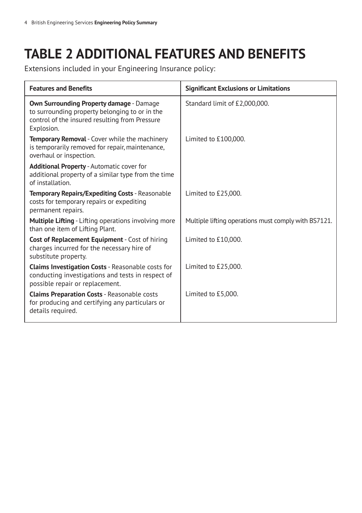### **TABLE 2 ADDITIONAL FEATURES AND BENEFITS**

Extensions included in your Engineering Insurance policy:

| <b>Features and Benefits</b>                                                                                                                                      | <b>Significant Exclusions or Limitations</b>         |  |
|-------------------------------------------------------------------------------------------------------------------------------------------------------------------|------------------------------------------------------|--|
| <b>Own Surrounding Property damage - Damage</b><br>to surrounding property belonging to or in the<br>control of the insured resulting from Pressure<br>Explosion. | Standard limit of £2,000,000.                        |  |
| <b>Temporary Removal</b> - Cover while the machinery<br>is temporarily removed for repair, maintenance,<br>overhaul or inspection.                                | Limited to £100,000.                                 |  |
| <b>Additional Property - Automatic cover for</b><br>additional property of a similar type from the time<br>of installation.                                       |                                                      |  |
| Temporary Repairs/Expediting Costs - Reasonable<br>costs for temporary repairs or expediting<br>permanent repairs.                                                | Limited to £25,000.                                  |  |
| <b>Multiple Lifting</b> - Lifting operations involving more<br>than one item of Lifting Plant.                                                                    | Multiple lifting operations must comply with BS7121. |  |
| <b>Cost of Replacement Equipment</b> - Cost of hiring<br>charges incurred for the necessary hire of<br>substitute property.                                       | Limited to £10,000.                                  |  |
| Claims Investigation Costs - Reasonable costs for<br>conducting investigations and tests in respect of<br>possible repair or replacement.                         | Limited to £25,000.                                  |  |
| <b>Claims Preparation Costs - Reasonable costs</b><br>for producing and certifying any particulars or<br>details required.                                        | Limited to £5,000.                                   |  |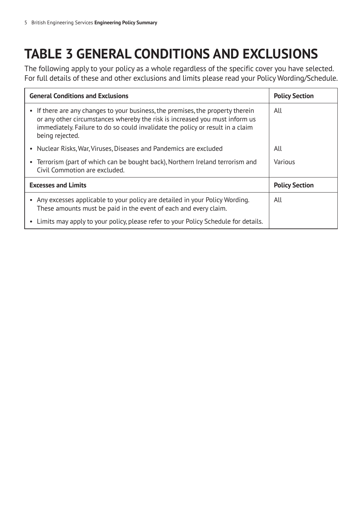# **TABLE 3 GENERAL CONDITIONS AND EXCLUSIONS**

The following apply to your policy as a whole regardless of the specific cover you have selected. For full details of these and other exclusions and limits please read your Policy Wording/Schedule.

| <b>General Conditions and Exclusions</b>                                                                                                                                                                                                                            | <b>Policy Section</b> |
|---------------------------------------------------------------------------------------------------------------------------------------------------------------------------------------------------------------------------------------------------------------------|-----------------------|
| • If there are any changes to your business, the premises, the property therein<br>or any other circumstances whereby the risk is increased you must inform us<br>immediately. Failure to do so could invalidate the policy or result in a claim<br>being rejected. | All                   |
| • Nuclear Risks, War, Viruses, Diseases and Pandemics are excluded                                                                                                                                                                                                  | All                   |
| • Terrorism (part of which can be bought back), Northern Ireland terrorism and<br>Civil Commotion are excluded.                                                                                                                                                     | Various               |
| <b>Excesses and Limits</b>                                                                                                                                                                                                                                          | <b>Policy Section</b> |
| • Any excesses applicable to your policy are detailed in your Policy Wording.<br>These amounts must be paid in the event of each and every claim.                                                                                                                   | All                   |
| • Limits may apply to your policy, please refer to your Policy Schedule for details.                                                                                                                                                                                |                       |